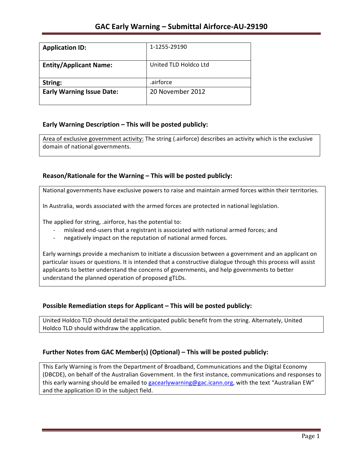| <b>Application ID:</b>           | 1-1255-29190          |
|----------------------------------|-----------------------|
| <b>Entity/Applicant Name:</b>    | United TLD Holdco Ltd |
| String:                          | .airforce             |
| <b>Early Warning Issue Date:</b> | 20 November 2012      |
|                                  |                       |

## **Early Warning Description – This will be posted publicly:**

Area of exclusive government activity: The string (.airforce) describes an activity which is the exclusive domain of national governments.

## **Reason/Rationale for the Warning – This will be posted publicly:**

National governments have exclusive powers to raise and maintain armed forces within their territories.

In Australia, words associated with the armed forces are protected in national legislation.

The applied for string, .airforce, has the potential to:

- mislead end-users that a registrant is associated with national armed forces; and
- negatively impact on the reputation of national armed forces.

Early warnings provide a mechanism to initiate a discussion between a government and an applicant on particular issues or questions. It is intended that a constructive dialogue through this process will assist applicants to better understand the concerns of governments, and help governments to better understand the planned operation of proposed gTLDs.

## **Possible Remediation steps for Applicant – This will be posted publicly:**

United Holdco TLD should detail the anticipated public benefit from the string. Alternately, United Holdco TLD should withdraw the application.

#### **Further Notes from GAC Member(s) (Optional) – This will be posted publicly:**

This Early Warning is from the Department of Broadband, Communications and the Digital Economy (DBCDE), on behalf of the Australian Government. In the first instance, communications and responses to this early warning should be emailed to gacearlywarning@gac.icann.org, with the text "Australian EW" and the application ID in the subject field.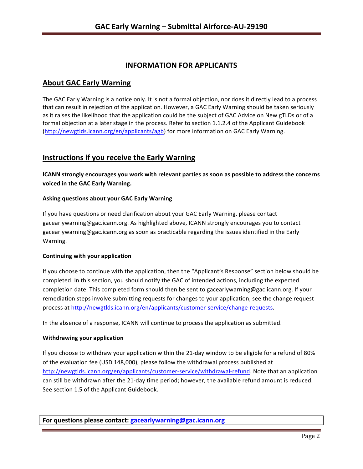# **INFORMATION FOR APPLICANTS**

# **About GAC Early Warning**

The GAC Early Warning is a notice only. It is not a formal objection, nor does it directly lead to a process that can result in rejection of the application. However, a GAC Early Warning should be taken seriously as it raises the likelihood that the application could be the subject of GAC Advice on New gTLDs or of a formal objection at a later stage in the process. Refer to section 1.1.2.4 of the Applicant Guidebook (http://newgtlds.icann.org/en/applicants/agb) for more information on GAC Early Warning.

# **Instructions if you receive the Early Warning**

**ICANN** strongly encourages you work with relevant parties as soon as possible to address the concerns **voiced in the GAC Early Warning.** 

### **Asking questions about your GAC Early Warning**

If you have questions or need clarification about your GAC Early Warning, please contact gacearlywarning@gac.icann.org. As highlighted above, ICANN strongly encourages you to contact gacearlywarning@gac.icann.org as soon as practicable regarding the issues identified in the Early Warning. 

#### **Continuing with your application**

If you choose to continue with the application, then the "Applicant's Response" section below should be completed. In this section, you should notify the GAC of intended actions, including the expected completion date. This completed form should then be sent to gacearlywarning@gac.icann.org. If your remediation steps involve submitting requests for changes to your application, see the change request process at http://newgtlds.icann.org/en/applicants/customer-service/change-requests.

In the absence of a response, ICANN will continue to process the application as submitted.

#### **Withdrawing your application**

If you choose to withdraw your application within the 21-day window to be eligible for a refund of 80% of the evaluation fee (USD 148,000), please follow the withdrawal process published at http://newgtlds.icann.org/en/applicants/customer-service/withdrawal-refund. Note that an application can still be withdrawn after the 21-day time period; however, the available refund amount is reduced. See section 1.5 of the Applicant Guidebook.

**For questions please contact: gacearlywarning@gac.icann.org**